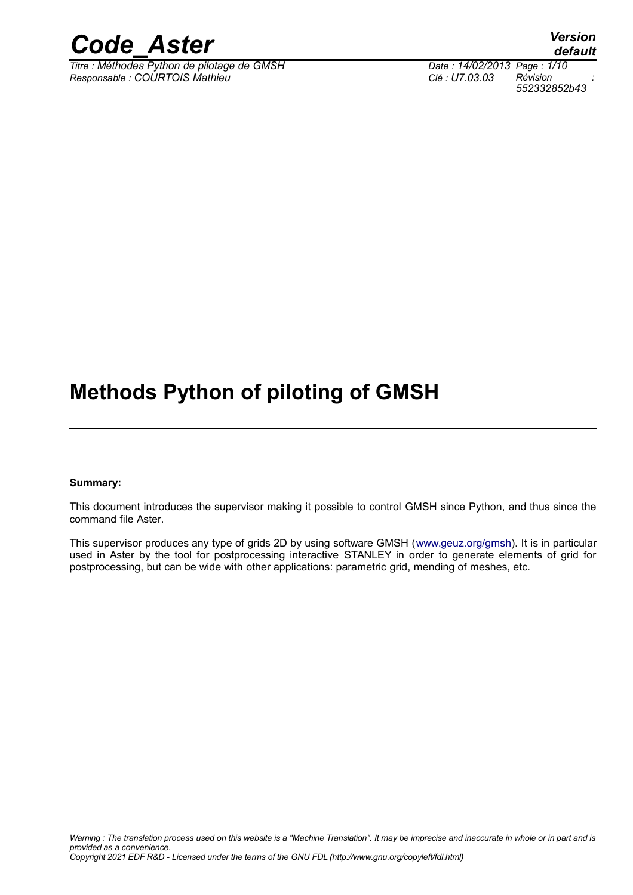

*Titre : Méthodes Python de pilotage de GMSH Date : 14/02/2013 Page : 1/10 Responsable : COURTOIS Mathieu Clé : U7.03.03 Révision :*

*default 552332852b43*

### **Methods Python of piloting of GMSH**

#### **Summary:**

This document introduces the supervisor making it possible to control GMSH since Python, and thus since the command file Aster.

This supervisor produces any type of grids 2D by using software GMSH [\(www.geuz.org/gmsh\)](http://www.geuz.org/gmsh). It is in particular used in Aster by the tool for postprocessing interactive STANLEY in order to generate elements of grid for postprocessing, but can be wide with other applications: parametric grid, mending of meshes, etc.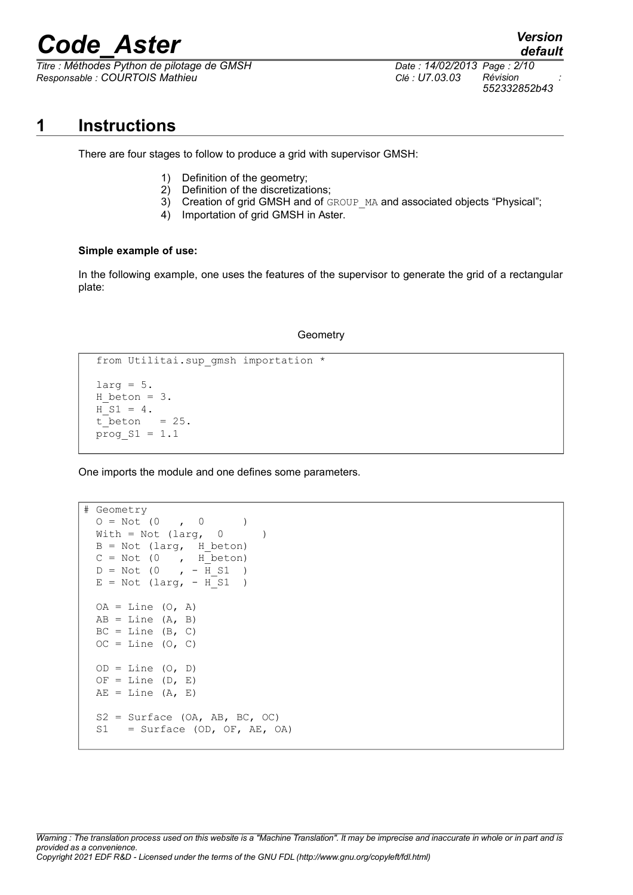*Titre : Méthodes Python de pilotage de GMSH Date : 14/02/2013 Page : 2/10 Responsable : COURTOIS Mathieu Clé : U7.03.03 Révision :*

*552332852b43*

**1 Instructions**

There are four stages to follow to produce a grid with supervisor GMSH:

- 1) Definition of the geometry;
- 2) Definition of the discretizations;
- 3) Creation of grid GMSH and of GROUP MA and associated objects "Physical";
- 4) Importation of grid GMSH in Aster.

#### **Simple example of use:**

In the following example, one uses the features of the supervisor to generate the grid of a rectangular plate:

#### **Geometry**

```
from Utilitai.sup qmsh importation *
larg = 5.H beton = 3.
H S1 = 4.
t beton = 25.prog S1 = 1.1
```
One imports the module and one defines some parameters.

```
# Geometry 
 O = Not (0, 0)With = Not (large, 0)B = Not (large, H_beton)C = Not (0, H_b)D = Not (0, -\overline{H} S1)E = Not (large, -H_S1)OA = Line (O, A)AB = Line (A, B)BC = Line (B, C)OC = Line (O, C)OD = Line (O, D)OF = Line (D, E)AE = Line (A, E)S2 = Surface (OA, AB, BC, OC)S1 = Surface (OD, OF, AE, OA)
```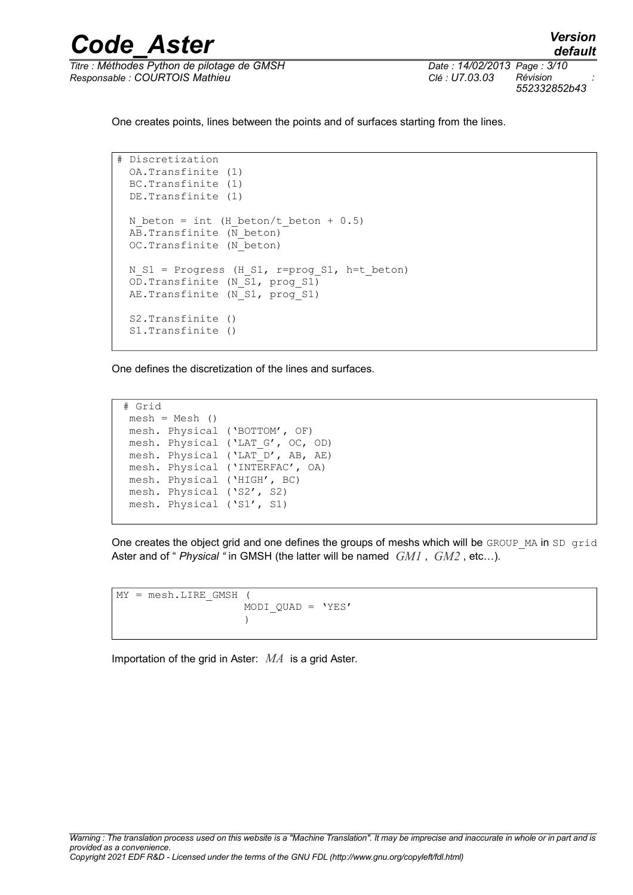

*Responsable : COURTOIS Mathieu Clé : U7.03.03 Révision :*

*552332852b43*

One creates points, lines between the points and of surfaces starting from the lines.

```
# Discretization
  OA.Transfinite (1)
  BC.Transfinite (1)
  DE.Transfinite (1)
 N beton = int (H beton/t beton + 0.5)
 AB.Transfinite (N beton)
  OC.Transfinite (N_beton)
 N S1 = Progress (H S1, r=prog S1, h=t beton)
  OD.Transfinite (N_S1, prog_S1)
 AE. Transfinite (N S1, prog S1)
  S2.Transfinite ()
  S1.Transfinite ()
```
One defines the discretization of the lines and surfaces.

```
# Grid
mesh = Mesh() mesh. Physical ('BOTTOM', OF)
 mesh. Physical ('LAT_G', OC, OD)
mesh. Physical ('LAT D', AB, AE)
 mesh. Physical ('INTERFAC', OA)
 mesh. Physical ('HIGH', BC)
 mesh. Physical ('S2', S2)
 mesh. Physical ('S1', S1)
```
One creates the object grid and one defines the groups of meshs which will be GROUP MA in SD grid Aster and of " *Physical "* in GMSH (the latter will be named *GM1* , *GM2* , etc…).

```
MY = mesh.LIRE GMSH (MODI QUAD = 'YES' )
```
Importation of the grid in Aster: *MA* is a grid Aster.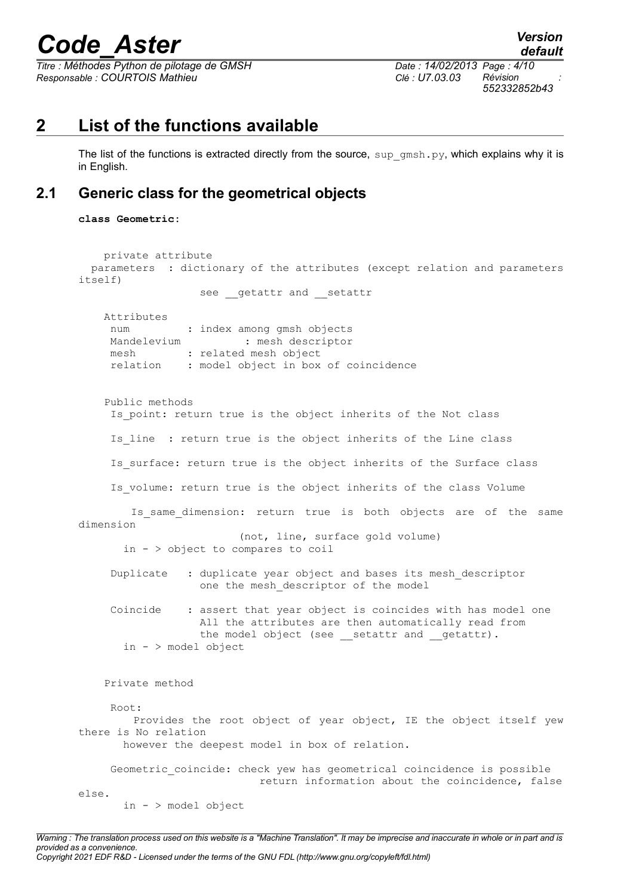*Titre : Méthodes Python de pilotage de GMSH Date : 14/02/2013 Page : 4/10 Responsable : COURTOIS Mathieu Clé : U7.03.03 Révision :*

*default 552332852b43*

### **2 List of the functions available**

The list of the functions is extracted directly from the source,  $\sup$  gmsh.py, which explains why it is in English.

### **2.1 Generic class for the geometrical objects**

**class Geometric:**

```
 private attribute
  parameters : dictionary of the attributes (except relation and parameters
itself)
                  see getattr and setattr
    Attributes
    num : index among gmsh objects
    Mandelevium : mesh descriptor
    mesh : related mesh object
     relation : model object in box of coincidence
    Public methods 
    Is point: return true is the object inherits of the Not class
    Is line : return true is the object inherits of the Line class
    Is surface: return true is the object inherits of the Surface class
    Is volume: return true is the object inherits of the class Volume
        Is same dimension: return true is both objects are of the same
dimension
                         (not, line, surface gold volume)
       in - > object to compares to coil 
     Duplicate : duplicate year object and bases its mesh_descriptor
                  one the mesh descriptor of the model
    Coincide : assert that year object is coincides with has model one
                   All the attributes are then automatically read from 
                  the model object (see __ setattr and __ getattr).
       in - > model object
    Private method 
     Root:
         Provides the root object of year object, IE the object itself yew
there is No relation
       however the deepest model in box of relation.
    Geometric coincide: check yew has geometrical coincidence is possible
                            return information about the coincidence, false
else.
       in - > model object
```
*Warning : The translation process used on this website is a "Machine Translation". It may be imprecise and inaccurate in whole or in part and is provided as a convenience.*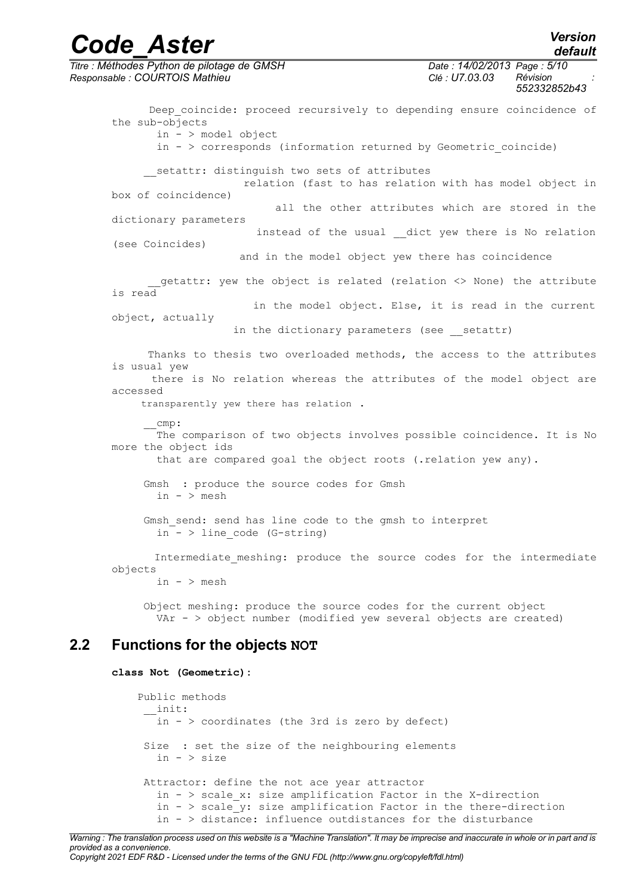*Titre : Méthodes Python de pilotage de GMSH Date : 14/02/2013 Page : 5/10 Responsable : COURTOIS Mathieu Clé : U7.03.03 Révision : 552332852b43* Deep coincide: proceed recursively to depending ensure coincidence of the sub-objects in - > model object in  $-$  > corresponds (information returned by Geometric coincide) setattr: distinguish two sets of attributes relation (fast to has relation with has model object in box of coincidence) all the other attributes which are stored in the dictionary parameters instead of the usual dict yew there is No relation (see Coincides) and in the model object yew there has coincidence getattr: yew the object is related (relation <> None) the attribute is read in the model object. Else, it is read in the current object, actually in the dictionary parameters (see setattr) Thanks to thesis two overloaded methods, the access to the attributes is usual yew there is No relation whereas the attributes of the model object are accessed transparently yew there has relation . \_\_cmp: The comparison of two objects involves possible coincidence. It is No more the object ids that are compared goal the object roots (.relation yew any). Gmsh : produce the source codes for Gmsh in - > mesh Gmsh send: send has line code to the gmsh to interpret in  $-$  > line code (G-string) Intermediate meshing: produce the source codes for the intermediate objects in  $-$  > mesh Object meshing: produce the source codes for the current object VAr - > object number (modified yew several objects are created) **2.2 Functions for the objects NOT class Not (Geometric):** Public methods  $\overline{\phantom{a}}$  init: in  $-$  > coordinates (the 3rd is zero by defect)

> Size : set the size of the neighbouring elements  $in - > size$

 Attractor: define the not ace year attractor in  $-$  > scale x: size amplification Factor in the X-direction in  $-$  > scale y: size amplification Factor in the there-direction in - > distance: influence outdistances for the disturbance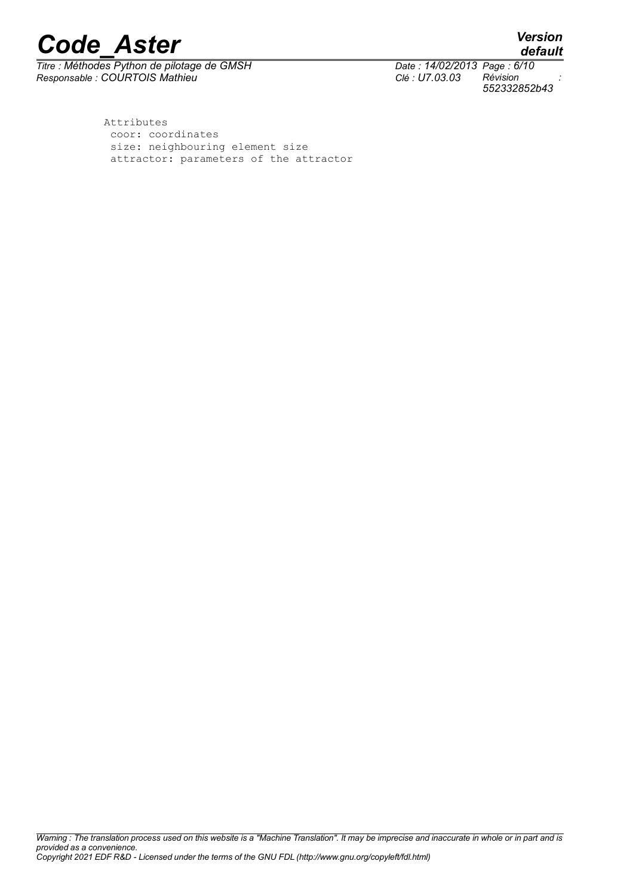*Titre : Méthodes Python de pilotage de GMSH Date : 14/02/2013 Page : 6/10 Responsable : COURTOIS Mathieu Clé : U7.03.03 Révision :*

*552332852b43*

*default*

 Attributes coor: coordinates size: neighbouring element size attractor: parameters of the attractor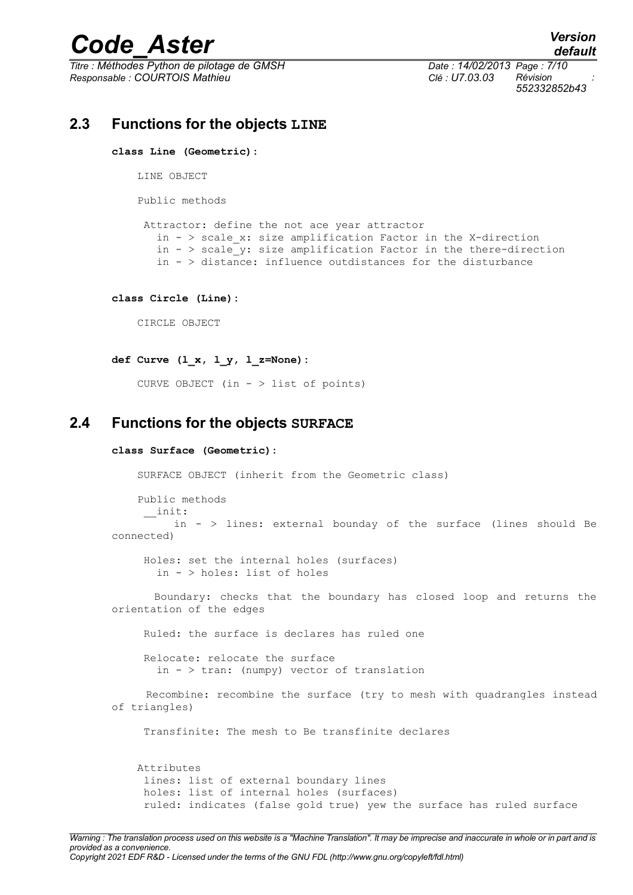## *Code\_Aster Version*<br>*default*<br>*Citre : Méthodes Python de pilotage de GMSH Date : 14/02/2013 Page : 7/10*

*Titre : Méthodes Python de pilotage de GMSH Date : 14/02/2013 Page : 7/10 Responsable : COURTOIS Mathieu Clé : U7.03.03 Révision :*

*default 552332852b43*

### **2.3 Functions for the objects LINE**

**class Line (Geometric):**

LINE OBJECT

Public methods

 Attractor: define the not ace year attractor in - > scale\_x: size amplification Factor in the X-direction in  $-$  > scale  $y$ : size amplification Factor in the there-direction in  $-$  > distance: influence outdistances for the disturbance

**class Circle (Line):**

CIRCLE OBJECT

**def Curve (l\_x, l\_y, l\_z=None):**

CURVE OBJECT (in - > list of points)

#### **2.4 Functions for the objects SURFACE**

#### **class Surface (Geometric):**

SURFACE OBJECT (inherit from the Geometric class)

 Public methods \_\_init: in - > lines: external bounday of the surface (lines should Be connected)

 Holes: set the internal holes (surfaces) in - > holes: list of holes

 Boundary: checks that the boundary has closed loop and returns the orientation of the edges

Ruled: the surface is declares has ruled one

 Relocate: relocate the surface in - > tran: (numpy) vector of translation

 Recombine: recombine the surface (try to mesh with quadrangles instead of triangles)

Transfinite: The mesh to Be transfinite declares

 Attributes lines: list of external boundary lines holes: list of internal holes (surfaces) ruled: indicates (false gold true) yew the surface has ruled surface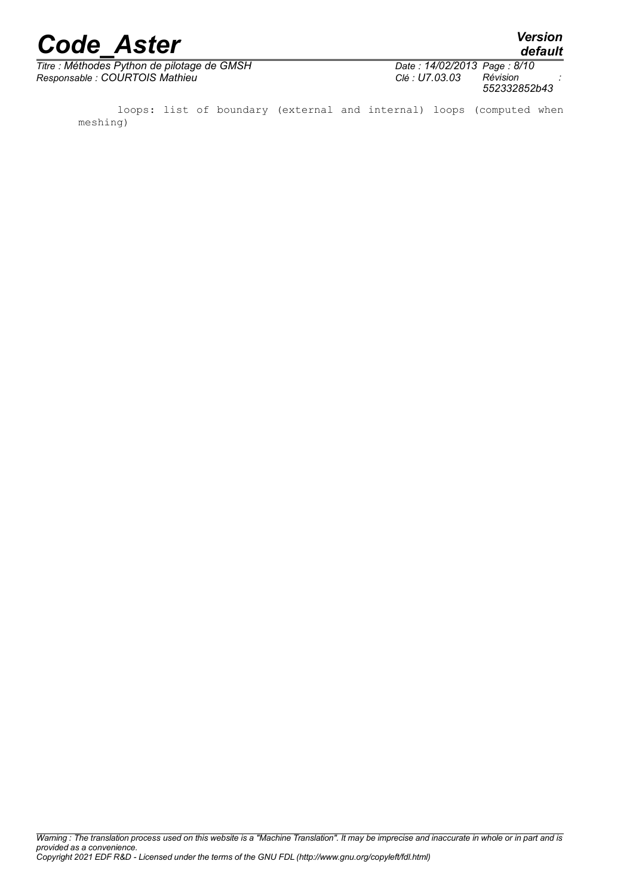*default*

 $\overline{T}$ *Titre : Méthodes Python de pilotage de GMSH Responsable : COURTOIS Mathieu Clé : U7.03.03 Révision :*

| Date: 14/02/2013 Page: 8/10 |              |
|-----------------------------|--------------|
| Clé : U7.03.03              | Révision     |
|                             | 552332852b43 |

 loops: list of boundary (external and internal) loops (computed when meshing)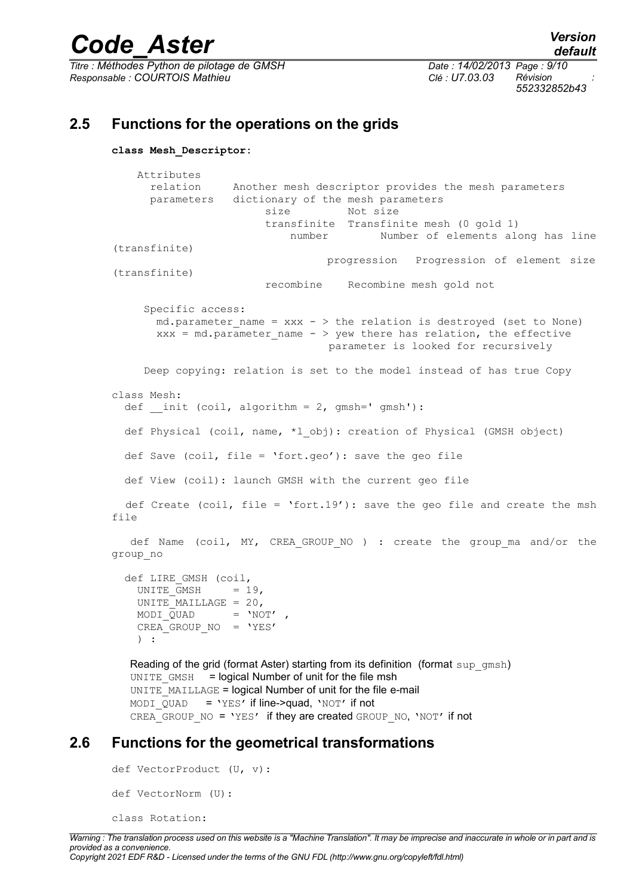*Titre : Méthodes Python de pilotage de GMSH Date : 14/02/2013 Page : 9/10 Responsable : COURTOIS Mathieu Clé : U7.03.03 Révision :*

*default 552332852b43*

### **2.5 Functions for the operations on the grids**

```
class Mesh_Descriptor:
```

```
 Attributes 
       relation Another mesh descriptor provides the mesh parameters
       parameters dictionary of the mesh parameters
                          size Not size
                          transfinite Transfinite mesh (0 gold 1)
                             number Number of elements along has line
(transfinite)
                                   progression Progression of element size
(transfinite)
                          recombine Recombine mesh gold not
      Specific access:
       md.parameter name = xxx - > the relation is destroyed (set to None)
       xxx = md.parameter name - > yew there has relation, the effective
                                    parameter is looked for recursively
      Deep copying: relation is set to the model instead of has true Copy
class Mesh:
  def init (coil, algorithm = 2, gmsh=' gmsh'):
   def Physical (coil, name, *l_obj): creation of Physical (GMSH object)
   def Save (coil, file = 'fort.geo'): save the geo file
   def View (coil): launch GMSH with the current geo file
   def Create (coil, file = 'fort.19'): save the geo file and create the msh
file
  def Name (coil, MY, CREA GROUP NO ) : create the group ma and/or the
group_no
   def LIRE_GMSH (coil,
    UNITE GMSH = 19,
    UNITE MAILLAGE = 20,
    MODI\_\overline{Q}UAD = 'NOT',
    CREA GROUP NO = 'YES' ) :
  Reading of the grid (format Aster) starting from its definition (format sup qmsh)
  UNITE GMSH = logical Number of unit for the file msh
  UNITE_MAILLAGE = logical Number of unit for the file e-mail
  MODI QUAD = 'YES' if line->quad, 'NOT' if not
```
CREA GROUP NO = 'YES' if they are created GROUP NO, 'NOT' if not

#### **2.6 Functions for the geometrical transformations**

```
def VectorProduct (U, v):
def VectorNorm (U):
class Rotation:
```
*Warning : The translation process used on this website is a "Machine Translation". It may be imprecise and inaccurate in whole or in part and is provided as a convenience.*

*Copyright 2021 EDF R&D - Licensed under the terms of the GNU FDL (http://www.gnu.org/copyleft/fdl.html)*